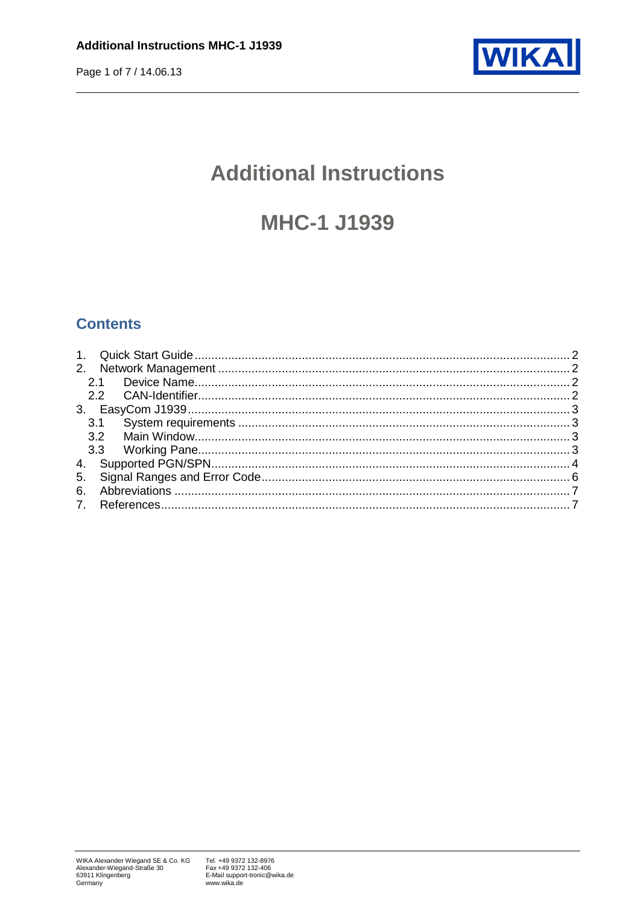

# **Additional Instructions**

# **MHC-1 J1939**

### **Contents**

|     | 2.1 |  |  |  |  |  |
|-----|-----|--|--|--|--|--|
|     |     |  |  |  |  |  |
|     |     |  |  |  |  |  |
| 3.1 |     |  |  |  |  |  |
|     | 3.2 |  |  |  |  |  |
|     |     |  |  |  |  |  |
|     |     |  |  |  |  |  |
| 5.  |     |  |  |  |  |  |
| 6.  |     |  |  |  |  |  |
|     |     |  |  |  |  |  |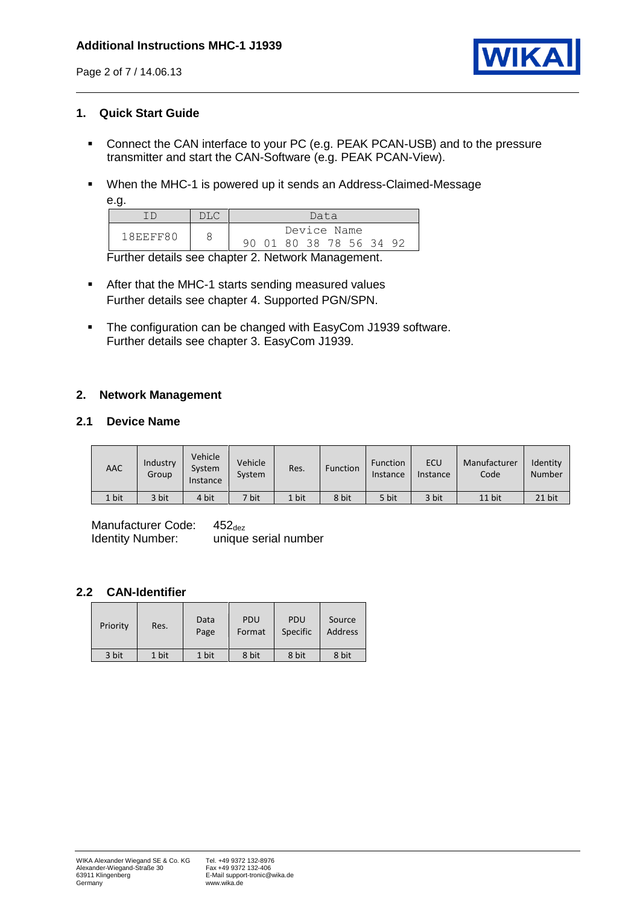

#### <span id="page-1-0"></span>**1. Quick Start Guide**

- Connect the CAN interface to your PC (e.g. PEAK PCAN-USB) and to the pressure transmitter and start the CAN-Software (e.g. PEAK PCAN-View).
- When the MHC-1 is powered up it sends an Address-Claimed-Message

| ٦<br>×<br>۰.<br>۰. |  |
|--------------------|--|
|--------------------|--|

|          | Data                    |  |  |  |
|----------|-------------------------|--|--|--|
| 18EEFF80 | Device Name             |  |  |  |
|          | 90 01 80 38 78 56 34 92 |  |  |  |

Further details see chapter [2. Network Management.](#page-1-1)

- After that the MHC-1 starts sending measured values Further details see chapter [4.](#page-3-0) [Supported PGN/SPN.](#page-3-0)
- The configuration can be changed with EasyCom J1939 software. Further details see chapter [3.](#page-2-0) [EasyCom J1939.](#page-2-0)

#### <span id="page-1-1"></span>**2. Network Management**

#### <span id="page-1-2"></span>**2.1 Device Name**

| AAC   | Industry<br>Group | Vehicle<br>System<br>Instance | Vehicle<br>System | Res.  | <b>Function</b> | <b>Function</b><br>Instance | <b>ECU</b><br>Instance | Manufacturer<br>Code | Identity<br><b>Number</b> |
|-------|-------------------|-------------------------------|-------------------|-------|-----------------|-----------------------------|------------------------|----------------------|---------------------------|
| 1 bit | 3 bit             | 4 bit                         | 7 bit             | 1 bit | 8 bit           | 5 bit                       | 3 bit                  | 11 bit               | 21 bit                    |

Manufacturer Code:  $452_{\text{dez}}$ <br>Identity Number: unique unique serial number

#### <span id="page-1-3"></span>**2.2 CAN-Identifier**

| Priority | Res.  | Data<br>Page | PDU<br>Format | <b>PDU</b><br>Specific | Source<br><b>Address</b> |
|----------|-------|--------------|---------------|------------------------|--------------------------|
| 3 bit    | 1 bit | 1 bit        | 8 bit         | 8 bit                  | 8 bit                    |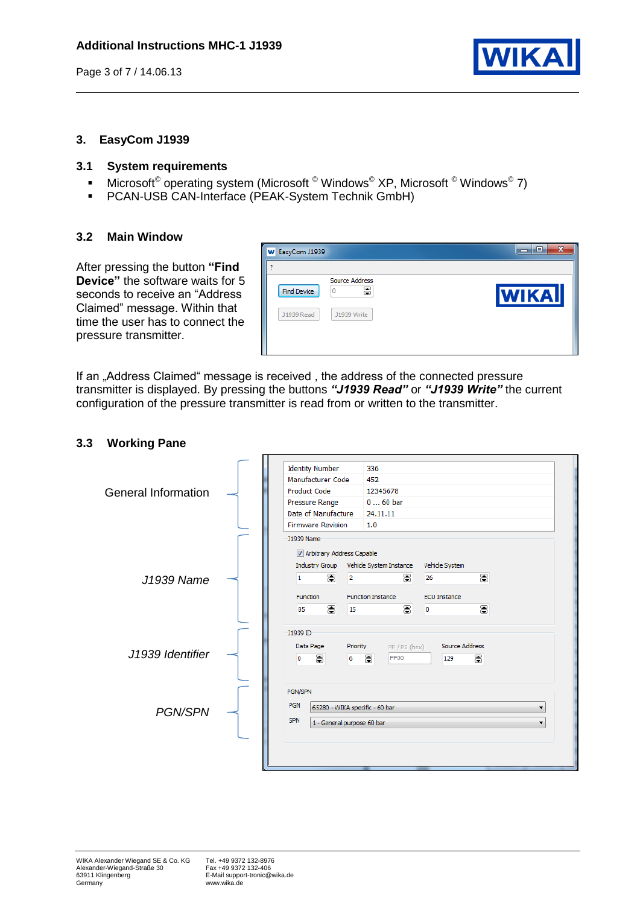

#### <span id="page-2-0"></span>**3. EasyCom J1939**

#### <span id="page-2-1"></span>**3.1 System requirements**

- Microsoft<sup>©</sup> operating system (Microsoft <sup>©</sup> Windows<sup>©</sup> XP, Microsoft <sup>©</sup> Windows<sup>©</sup> 7)
- **PCAN-USB CAN-Interface (PEAK-System Technik GmbH)**

#### <span id="page-2-2"></span>**3.2 Main Window**

After pressing the button **"Find Device"** the software waits for 5 seconds to receive an "Address Claimed" message. Within that time the user has to connect the pressure transmitter.

| W EasyCom J1939                                                                    | $\mathbf{x}$<br>$\blacksquare$ |
|------------------------------------------------------------------------------------|--------------------------------|
| Source Address<br>8<br>O<br><b>Find Device</b><br>J1939 Read<br><b>J1939 Write</b> | <b>WIKA</b>                    |

If an "Address Claimed" message is received, the address of the connected pressure transmitter is displayed. By pressing the buttons *"J1939 Read"* or *"J1939 Write"* the current configuration of the pressure transmitter is read from or written to the transmitter.

#### <span id="page-2-3"></span>**3.3 Working Pane**

|                            |  | <b>Identity Number</b>    | 336                            |                     |  |  |
|----------------------------|--|---------------------------|--------------------------------|---------------------|--|--|
|                            |  | Manufacturer Code         | 452                            |                     |  |  |
| <b>General Information</b> |  | <b>Product Code</b>       | 12345678                       |                     |  |  |
|                            |  | Pressure Range            | $060$ bar                      |                     |  |  |
|                            |  | Date of Manufacture       | 24.11.11                       |                     |  |  |
|                            |  | <b>Firmware Revision</b>  | 1.0                            |                     |  |  |
|                            |  | 11939 Name                |                                |                     |  |  |
|                            |  | Arbitrary Address Capable |                                |                     |  |  |
|                            |  | Industry Group            | Vehicle System Instance        | Vehicle System      |  |  |
| J1939 Name                 |  | 8<br>$\overline{2}$<br>1  | 8                              | 8<br>26             |  |  |
|                            |  |                           |                                |                     |  |  |
|                            |  | <b>Function</b>           | <b>Function Instance</b>       | <b>ECU Instance</b> |  |  |
|                            |  | 8<br>85<br>15             | 8                              | 8<br>o              |  |  |
|                            |  |                           |                                |                     |  |  |
|                            |  | 11939 ID                  |                                |                     |  |  |
|                            |  | Data Page                 | Priority<br>PF / PS (hex)      | Source Address      |  |  |
| J1939 Identifier           |  | 8<br>0<br>6               | 8<br>FF00                      | 등<br>129            |  |  |
|                            |  |                           |                                |                     |  |  |
|                            |  |                           |                                |                     |  |  |
|                            |  | PGN/SPN                   |                                |                     |  |  |
| <b>PGN/SPN</b>             |  | <b>PGN</b>                | 65280 - WIKA specific - 60 bar |                     |  |  |
|                            |  | <b>SPN</b>                | 1 - General purpose 60 bar     |                     |  |  |
|                            |  |                           |                                |                     |  |  |
|                            |  |                           |                                |                     |  |  |
|                            |  |                           |                                |                     |  |  |
|                            |  |                           |                                |                     |  |  |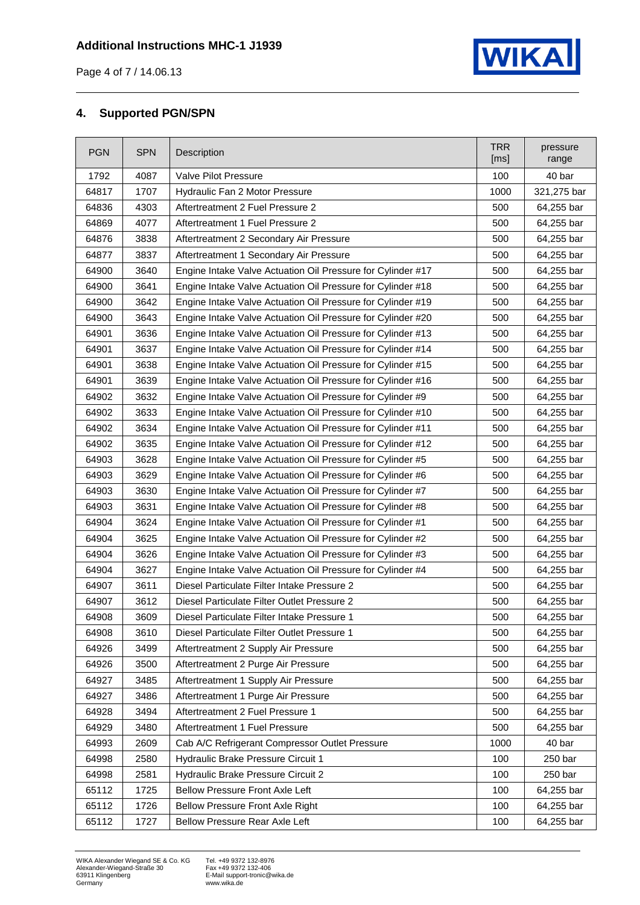

Page 4 of 7 / 14.06.13

#### <span id="page-3-0"></span>**4. Supported PGN/SPN**

| <b>PGN</b> | <b>SPN</b> | Description                                                 | <b>TRR</b><br>[ms] | pressure<br>range |
|------------|------------|-------------------------------------------------------------|--------------------|-------------------|
| 1792       | 4087       | Valve Pilot Pressure                                        |                    | 40 bar            |
| 64817      | 1707       | Hydraulic Fan 2 Motor Pressure                              | 1000               | 321,275 bar       |
| 64836      | 4303       | Aftertreatment 2 Fuel Pressure 2                            | 500                | 64,255 bar        |
| 64869      | 4077       | Aftertreatment 1 Fuel Pressure 2                            | 500                | 64,255 bar        |
| 64876      | 3838       | Aftertreatment 2 Secondary Air Pressure                     | 500                | 64,255 bar        |
| 64877      | 3837       | Aftertreatment 1 Secondary Air Pressure                     | 500                | 64,255 bar        |
| 64900      | 3640       | Engine Intake Valve Actuation Oil Pressure for Cylinder #17 | 500                | 64,255 bar        |
| 64900      | 3641       | Engine Intake Valve Actuation Oil Pressure for Cylinder #18 | 500                | 64,255 bar        |
| 64900      | 3642       | Engine Intake Valve Actuation Oil Pressure for Cylinder #19 | 500                | 64,255 bar        |
| 64900      | 3643       | Engine Intake Valve Actuation Oil Pressure for Cylinder #20 | 500                | 64,255 bar        |
| 64901      | 3636       | Engine Intake Valve Actuation Oil Pressure for Cylinder #13 | 500                | 64,255 bar        |
| 64901      | 3637       | Engine Intake Valve Actuation Oil Pressure for Cylinder #14 | 500                | 64,255 bar        |
| 64901      | 3638       | Engine Intake Valve Actuation Oil Pressure for Cylinder #15 | 500                | 64,255 bar        |
| 64901      | 3639       | Engine Intake Valve Actuation Oil Pressure for Cylinder #16 | 500                | 64,255 bar        |
| 64902      | 3632       | Engine Intake Valve Actuation Oil Pressure for Cylinder #9  | 500                | 64,255 bar        |
| 64902      | 3633       | Engine Intake Valve Actuation Oil Pressure for Cylinder #10 | 500                | 64,255 bar        |
| 64902      | 3634       | Engine Intake Valve Actuation Oil Pressure for Cylinder #11 | 500                | 64,255 bar        |
| 64902      | 3635       | Engine Intake Valve Actuation Oil Pressure for Cylinder #12 | 500                | 64,255 bar        |
| 64903      | 3628       | Engine Intake Valve Actuation Oil Pressure for Cylinder #5  | 500                | 64,255 bar        |
| 64903      | 3629       | Engine Intake Valve Actuation Oil Pressure for Cylinder #6  | 500                | 64,255 bar        |
| 64903      | 3630       | Engine Intake Valve Actuation Oil Pressure for Cylinder #7  | 500                | 64,255 bar        |
| 64903      | 3631       | Engine Intake Valve Actuation Oil Pressure for Cylinder #8  | 500                | 64,255 bar        |
| 64904      | 3624       | Engine Intake Valve Actuation Oil Pressure for Cylinder #1  | 500                | 64,255 bar        |
| 64904      | 3625       | Engine Intake Valve Actuation Oil Pressure for Cylinder #2  | 500                | 64,255 bar        |
| 64904      | 3626       | Engine Intake Valve Actuation Oil Pressure for Cylinder #3  | 500                | 64,255 bar        |
| 64904      | 3627       | Engine Intake Valve Actuation Oil Pressure for Cylinder #4  | 500                | 64,255 bar        |
| 64907      | 3611       | Diesel Particulate Filter Intake Pressure 2                 | 500                | 64,255 bar        |
| 64907      | 3612       | Diesel Particulate Filter Outlet Pressure 2                 | 500                | 64,255 bar        |
| 64908      | 3609       | Diesel Particulate Filter Intake Pressure 1                 | 500                | 64,255 bar        |
| 64908      | 3610       | Diesel Particulate Filter Outlet Pressure 1                 | 500                | 64,255 bar        |
| 64926      | 3499       | Aftertreatment 2 Supply Air Pressure                        | 500                | 64,255 bar        |
| 64926      | 3500       | Aftertreatment 2 Purge Air Pressure                         | 500                | 64,255 bar        |
| 64927      | 3485       | Aftertreatment 1 Supply Air Pressure                        | 500                | 64,255 bar        |
| 64927      | 3486       | Aftertreatment 1 Purge Air Pressure                         | 500                | 64,255 bar        |
| 64928      | 3494       | Aftertreatment 2 Fuel Pressure 1                            | 500                | 64,255 bar        |
| 64929      | 3480       | Aftertreatment 1 Fuel Pressure                              | 500                | 64,255 bar        |
| 64993      | 2609       | Cab A/C Refrigerant Compressor Outlet Pressure              | 1000               | 40 bar            |
| 64998      | 2580       | Hydraulic Brake Pressure Circuit 1                          | 100                | 250 bar           |
| 64998      | 2581       | Hydraulic Brake Pressure Circuit 2                          |                    | 250 bar           |
| 65112      | 1725       | Bellow Pressure Front Axle Left                             | 100                | 64,255 bar        |
| 65112      | 1726       | <b>Bellow Pressure Front Axle Right</b>                     | 100                | 64,255 bar        |
| 65112      | 1727       | Bellow Pressure Rear Axle Left                              | 100                | 64,255 bar        |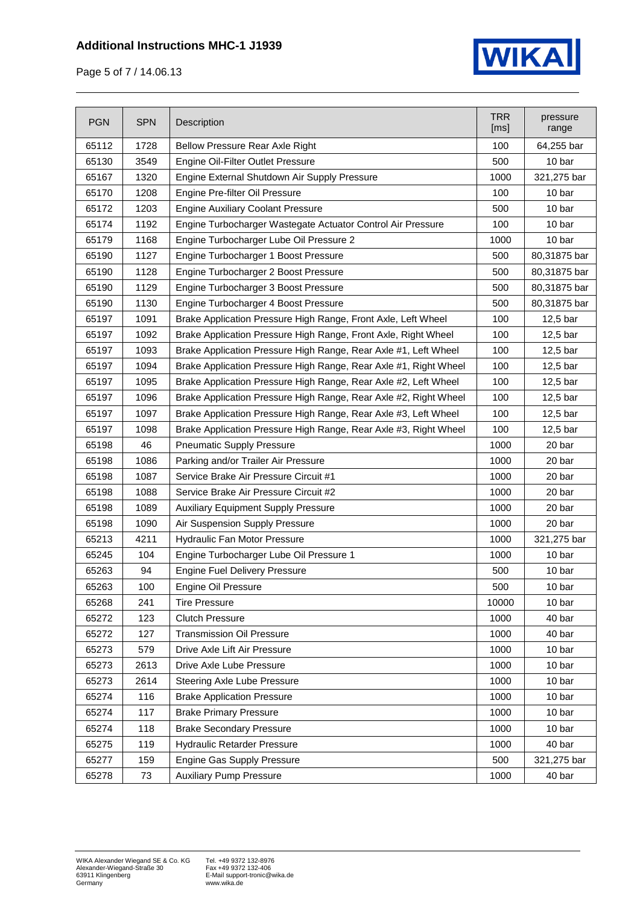#### **Additional Instructions MHC-1 J1939**



Page 5 of 7 / 14.06.13

| <b>PGN</b> | <b>SPN</b> | Description                                                      | <b>TRR</b><br>[ms] | pressure<br>range |
|------------|------------|------------------------------------------------------------------|--------------------|-------------------|
| 65112      | 1728       | <b>Bellow Pressure Rear Axle Right</b>                           | 100                | 64,255 bar        |
| 65130      | 3549       | Engine Oil-Filter Outlet Pressure                                |                    | 10 bar            |
| 65167      | 1320       | Engine External Shutdown Air Supply Pressure                     | 1000               | 321,275 bar       |
| 65170      | 1208       | Engine Pre-filter Oil Pressure                                   | 100                | 10 bar            |
| 65172      | 1203       | <b>Engine Auxiliary Coolant Pressure</b>                         | 500                | 10 bar            |
| 65174      | 1192       | Engine Turbocharger Wastegate Actuator Control Air Pressure      | 100                | 10 bar            |
| 65179      | 1168       | Engine Turbocharger Lube Oil Pressure 2                          | 1000               | 10 bar            |
| 65190      | 1127       | Engine Turbocharger 1 Boost Pressure                             | 500                | 80,31875 bar      |
| 65190      | 1128       | Engine Turbocharger 2 Boost Pressure                             | 500                | 80,31875 bar      |
| 65190      | 1129       | Engine Turbocharger 3 Boost Pressure                             | 500                | 80,31875 bar      |
| 65190      | 1130       | Engine Turbocharger 4 Boost Pressure                             | 500                | 80,31875 bar      |
| 65197      | 1091       | Brake Application Pressure High Range, Front Axle, Left Wheel    | 100                | $12,5$ bar        |
| 65197      | 1092       | Brake Application Pressure High Range, Front Axle, Right Wheel   | 100                | 12,5 bar          |
| 65197      | 1093       | Brake Application Pressure High Range, Rear Axle #1, Left Wheel  | 100                | 12,5 bar          |
| 65197      | 1094       | Brake Application Pressure High Range, Rear Axle #1, Right Wheel | 100                | 12,5 bar          |
| 65197      | 1095       | Brake Application Pressure High Range, Rear Axle #2, Left Wheel  | 100                | 12,5 bar          |
| 65197      | 1096       | Brake Application Pressure High Range, Rear Axle #2, Right Wheel | 100                | $12,5$ bar        |
| 65197      | 1097       | Brake Application Pressure High Range, Rear Axle #3, Left Wheel  | 100                | 12,5 bar          |
| 65197      | 1098       | Brake Application Pressure High Range, Rear Axle #3, Right Wheel | 100                | $12,5$ bar        |
| 65198      | 46         | <b>Pneumatic Supply Pressure</b>                                 | 1000               | 20 bar            |
| 65198      | 1086       | Parking and/or Trailer Air Pressure                              | 1000               | 20 bar            |
| 65198      | 1087       | Service Brake Air Pressure Circuit #1                            | 1000               | 20 bar            |
| 65198      | 1088       | Service Brake Air Pressure Circuit #2                            | 1000               | 20 bar            |
| 65198      | 1089       | <b>Auxiliary Equipment Supply Pressure</b>                       | 1000               | 20 bar            |
| 65198      | 1090       | Air Suspension Supply Pressure                                   | 1000               | 20 bar            |
| 65213      | 4211       | Hydraulic Fan Motor Pressure                                     | 1000               | 321,275 bar       |
| 65245      | 104        | Engine Turbocharger Lube Oil Pressure 1                          | 1000               | 10 bar            |
| 65263      | 94         | <b>Engine Fuel Delivery Pressure</b>                             | 500                | 10 bar            |
| 65263      | 100        | Engine Oil Pressure                                              | 500                | 10 bar            |
| 65268      | 241        | <b>Tire Pressure</b>                                             | 10000              | 10 bar            |
| 65272      | 123        | <b>Clutch Pressure</b>                                           | 1000               | 40 bar            |
| 65272      | 127        | <b>Transmission Oil Pressure</b>                                 | 1000               | 40 bar            |
| 65273      | 579        | Drive Axle Lift Air Pressure                                     | 1000               | 10 bar            |
| 65273      | 2613       | Drive Axle Lube Pressure                                         | 1000               | 10 bar            |
| 65273      | 2614       | Steering Axle Lube Pressure                                      | 1000               | 10 bar            |
| 65274      | 116        | <b>Brake Application Pressure</b>                                | 1000               | 10 bar            |
| 65274      | 117        | <b>Brake Primary Pressure</b>                                    |                    | 10 bar            |
| 65274      | 118        | <b>Brake Secondary Pressure</b>                                  |                    | 10 bar            |
| 65275      | 119        | Hydraulic Retarder Pressure                                      | 1000               | 40 bar            |
| 65277      | 159        | Engine Gas Supply Pressure                                       | 500                | 321,275 bar       |
| 65278      | 73         | <b>Auxiliary Pump Pressure</b>                                   | 1000               | 40 bar            |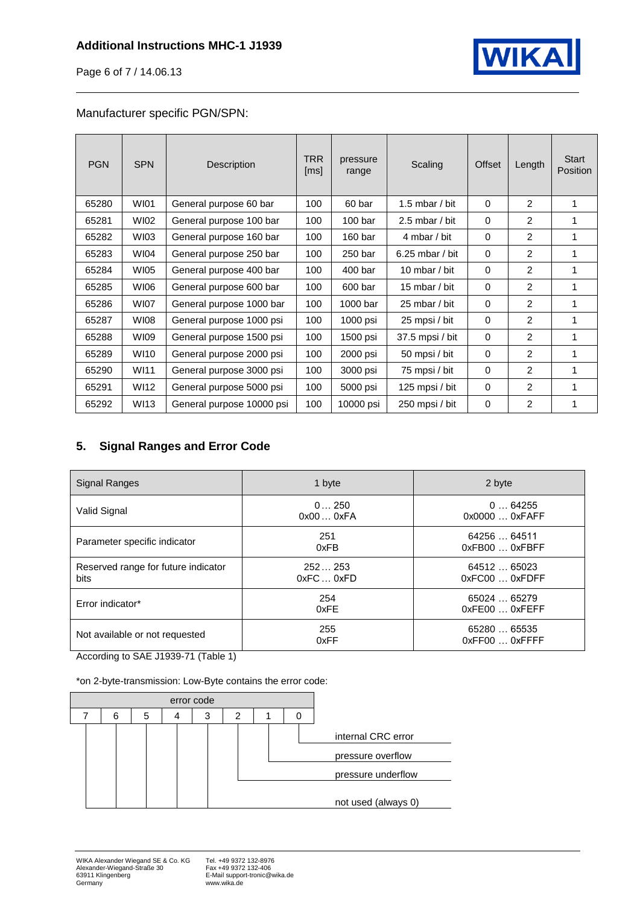

Page 6 of 7 / 14.06.13

#### Manufacturer specific PGN/SPN:

| <b>PGN</b> | <b>SPN</b>  | Description               | <b>TRR</b><br>[ms] | pressure<br>range  | Scaling           | Offset   | Length         | <b>Start</b><br><b>Position</b> |
|------------|-------------|---------------------------|--------------------|--------------------|-------------------|----------|----------------|---------------------------------|
| 65280      | <b>WI01</b> | General purpose 60 bar    | 100                | 60 bar             | 1.5 mbar / bit    | $\Omega$ | 2              | 1                               |
| 65281      | WI02        | General purpose 100 bar   | 100                | 100 <sub>bar</sub> | 2.5 mbar / bit    | 0        | 2              | 1                               |
| 65282      | WI03        | General purpose 160 bar   | 100                | 160 <sub>bar</sub> | 4 mbar / bit      | 0        | 2              |                                 |
| 65283      | WI04        | General purpose 250 bar   | 100                | 250 bar            | $6.25$ mbar / bit | $\Omega$ | 2              |                                 |
| 65284      | <b>WI05</b> | General purpose 400 bar   | 100                | 400 bar            | 10 mbar / bit     | $\Omega$ | $\overline{2}$ |                                 |
| 65285      | WI06        | General purpose 600 bar   | 100                | 600 bar            | 15 mbar / bit     | $\Omega$ | 2              |                                 |
| 65286      | <b>WI07</b> | General purpose 1000 bar  | 100                | 1000 bar           | 25 mbar / bit     | $\Omega$ | $\overline{2}$ |                                 |
| 65287      | WI08        | General purpose 1000 psi  | 100                | 1000 psi           | 25 mpsi / bit     | $\Omega$ | 2              |                                 |
| 65288      | WI09        | General purpose 1500 psi  | 100                | 1500 psi           | 37.5 mpsi / bit   | $\Omega$ | 2              | 1                               |
| 65289      | WI10        | General purpose 2000 psi  | 100                | 2000 psi           | 50 mpsi / bit     | 0        | 2              | 1                               |
| 65290      | WI11        | General purpose 3000 psi  | 100                | 3000 psi           | 75 mpsi / bit     | 0        | 2              | 1                               |
| 65291      | WI12        | General purpose 5000 psi  | 100                | 5000 psi           | 125 mpsi / bit    | 0        | $\overline{2}$ | 1                               |
| 65292      | <b>WI13</b> | General purpose 10000 psi | 100                | 10000 psi          | 250 mpsi / bit    | 0        | 2              |                                 |

### <span id="page-5-0"></span>**5. Signal Ranges and Error Code**

| Signal Ranges                               | 1 byte             | 2 byte                         |
|---------------------------------------------|--------------------|--------------------------------|
| Valid Signal                                | 0250<br>0x000xFA   | 064255<br>0x0000  0xFAFF       |
| Parameter specific indicator                | 251<br>0xFB        | 64256  64511<br>0xFB00  0xFBFF |
| Reserved range for future indicator<br>bits | 252253<br>0xFC0xFD | 64512  65023<br>0xFC00  0xFDFF |
| Error indicator*                            | 254<br>0xFE        | 65024  65279<br>0xFE00  0xFEFF |
| Not available or not requested              | 255<br>0xFF        | 65280  65535<br>0xFF000xFFFF   |

According to SAE J1939-71 (Table 1)

\*on 2-byte-transmission: Low-Byte contains the error code: